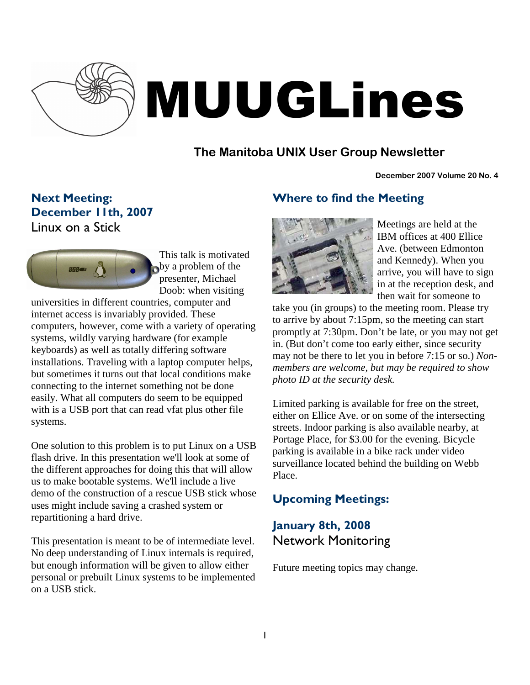

# MUUGLines

## **The Manitoba UNIX User Group Newsletter**

#### **December 2007 Volume 20 No. 4**

Next Meeting: December 11th, 2007 Linux on a Stick



This talk is motivated by a problem of the presenter, Michael Doob: when visiting

universities in different countries, computer and internet access is invariably provided. These computers, however, come with a variety of operating systems, wildly varying hardware (for example keyboards) as well as totally differing software installations. Traveling with a laptop computer helps, but sometimes it turns out that local conditions make connecting to the internet something not be done easily. What all computers do seem to be equipped with is a USB port that can read vfat plus other file systems.

One solution to this problem is to put Linux on a USB flash drive. In this presentation we'll look at some of the different approaches for doing this that will allow us to make bootable systems. We'll include a live demo of the construction of a rescue USB stick whose uses might include saving a crashed system or repartitioning a hard drive.

This presentation is meant to be of intermediate level. No deep understanding of Linux internals is required, but enough information will be given to allow either personal or prebuilt Linux systems to be implemented on a USB stick.

## Where to find the Meeting



Meetings are held at the IBM offices at 400 Ellice Ave. (between Edmonton and Kennedy). When you arrive, you will have to sign in at the reception desk, and then wait for someone to

take you (in groups) to the meeting room. Please try to arrive by about 7:15pm, so the meeting can start promptly at 7:30pm. Don't be late, or you may not get in. (But don't come too early either, since security may not be there to let you in before 7:15 or so.) *Nonmembers are welcome, but may be required to show photo ID at the security desk.*

Limited parking is available for free on the street, either on Ellice Ave. or on some of the intersecting streets. Indoor parking is also available nearby, at Portage Place, for \$3.00 for the evening. Bicycle parking is available in a bike rack under video surveillance located behind the building on Webb Place.

## Upcoming Meetings:

## January 8th, 2008 Network Monitoring

Future meeting topics may change.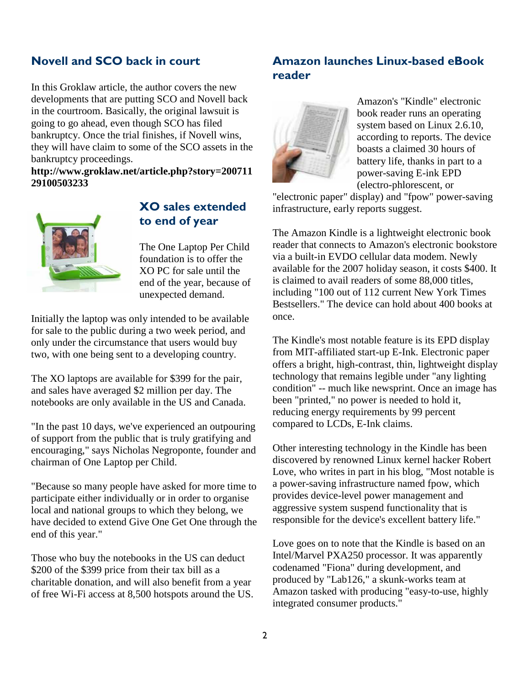#### Novell and SCO back in court

In this Groklaw article, the author covers the new developments that are putting SCO and Novell back in the courtroom. Basically, the original lawsuit is going to go ahead, even though SCO has filed bankruptcy. Once the trial finishes, if Novell wins, they will have claim to some of the SCO assets in the bankruptcy proceedings.

**http://www.groklaw.net/article.php?story=200711 29100503233**



#### XO sales extended to end of year

The One Laptop Per Child foundation is to offer the XO PC for sale until the end of the year, because of unexpected demand.

Initially the laptop was only intended to be available for sale to the public during a two week period, and only under the circumstance that users would buy two, with one being sent to a developing country.

The XO laptops are available for \$399 for the pair, and sales have averaged \$2 million per day. The notebooks are only available in the US and Canada.

"In the past 10 days, we've experienced an outpouring of support from the public that is truly gratifying and encouraging," says Nicholas Negroponte, founder and chairman of One Laptop per Child.

"Because so many people have asked for more time to participate either individually or in order to organise local and national groups to which they belong, we have decided to extend Give One Get One through the end of this year."

Those who buy the notebooks in the US can deduct \$200 of the \$399 price from their tax bill as a charitable donation, and will also benefit from a year of free Wi-Fi access at 8,500 hotspots around the US.

#### Amazon launches Linux-based eBook reader



Amazon's "Kindle" electronic book reader runs an operating system based on Linux 2.6.10, according to reports. The device boasts a claimed 30 hours of battery life, thanks in part to a power-saving E-ink EPD (electro-phlorescent, or

"electronic paper" display) and "fpow" power-saving infrastructure, early reports suggest.

The Amazon Kindle is a lightweight electronic book reader that connects to Amazon's electronic bookstore via a built-in EVDO cellular data modem. Newly available for the 2007 holiday season, it costs \$400. It is claimed to avail readers of some 88,000 titles, including "100 out of 112 current New York Times Bestsellers." The device can hold about 400 books at once.

The Kindle's most notable feature is its EPD display from MIT-affiliated start-up E-Ink. Electronic paper offers a bright, high-contrast, thin, lightweight display technology that remains legible under "any lighting condition" -- much like newsprint. Once an image has been "printed," no power is needed to hold it, reducing energy requirements by 99 percent compared to LCDs, E-Ink claims.

Other interesting technology in the Kindle has been discovered by renowned Linux kernel hacker Robert Love, who writes in part in his blog, "Most notable is a power-saving infrastructure named fpow, which provides device-level power management and aggressive system suspend functionality that is responsible for the device's excellent battery life."

Love goes on to note that the Kindle is based on an Intel/Marvel PXA250 processor. It was apparently codenamed "Fiona" during development, and produced by "Lab126," a skunk-works team at Amazon tasked with producing "easy-to-use, highly integrated consumer products."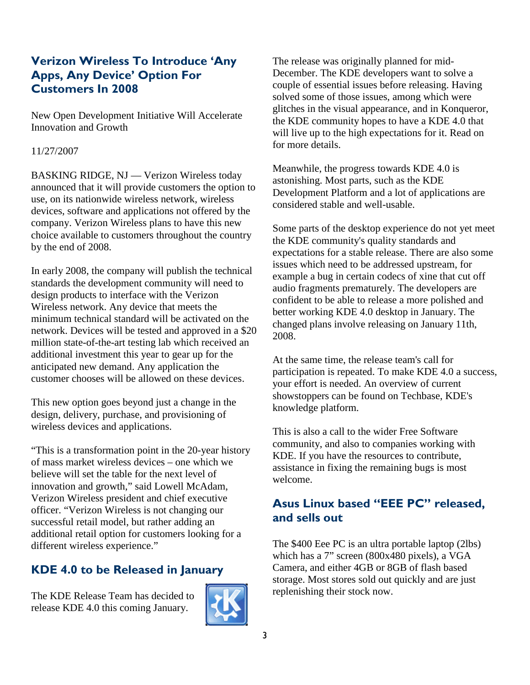## Verizon Wireless To Introduce 'Any Apps, Any Device' Option For Customers In 2008

New Open Development Initiative Will Accelerate Innovation and Growth

#### 11/27/2007

BASKING RIDGE, NJ — Verizon Wireless today announced that it will provide customers the option to use, on its nationwide wireless network, wireless devices, software and applications not offered by the company. Verizon Wireless plans to have this new choice available to customers throughout the country by the end of 2008.

In early 2008, the company will publish the technical standards the development community will need to design products to interface with the Verizon Wireless network. Any device that meets the minimum technical standard will be activated on the network. Devices will be tested and approved in a \$20 million state-of-the-art testing lab which received an additional investment this year to gear up for the anticipated new demand. Any application the customer chooses will be allowed on these devices.

This new option goes beyond just a change in the design, delivery, purchase, and provisioning of wireless devices and applications.

"This is a transformation point in the 20-year history of mass market wireless devices – one which we believe will set the table for the next level of innovation and growth," said Lowell McAdam, Verizon Wireless president and chief executive officer. "Verizon Wireless is not changing our successful retail model, but rather adding an additional retail option for customers looking for a different wireless experience."

## KDE 4.0 to be Released in January

The KDE Release Team has decided to release KDE 4.0 this coming January.



The release was originally planned for mid-December. The KDE developers want to solve a couple of essential issues before releasing. Having solved some of those issues, among which were glitches in the visual appearance, and in Konqueror, the KDE community hopes to have a KDE 4.0 that will live up to the high expectations for it. Read on for more details.

Meanwhile, the progress towards KDE 4.0 is astonishing. Most parts, such as the KDE Development Platform and a lot of applications are considered stable and well-usable.

Some parts of the desktop experience do not yet meet the KDE community's quality standards and expectations for a stable release. There are also some issues which need to be addressed upstream, for example a bug in certain codecs of xine that cut off audio fragments prematurely. The developers are confident to be able to release a more polished and better working KDE 4.0 desktop in January. The changed plans involve releasing on January 11th, 2008.

At the same time, the release team's call for participation is repeated. To make KDE 4.0 a success, your effort is needed. An overview of current showstoppers can be found on Techbase, KDE's knowledge platform.

This is also a call to the wider Free Software community, and also to companies working with KDE. If you have the resources to contribute, assistance in fixing the remaining bugs is most welcome.

### Asus Linux based "EEE PC" released, and sells out

The \$400 Eee PC is an ultra portable laptop (2lbs) which has a 7" screen (800x480 pixels), a VGA Camera, and either 4GB or 8GB of flash based storage. Most stores sold out quickly and are just replenishing their stock now.